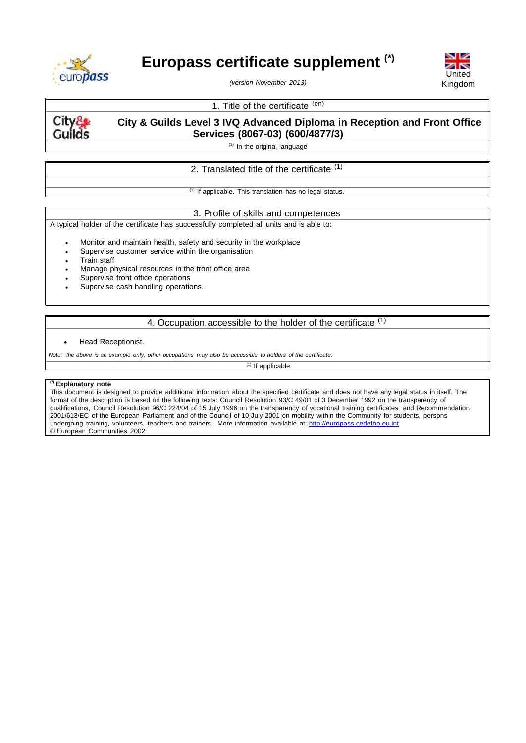

# **Europass certificate supplement (\*)**



*(version November 2013)*

# 1. Title of the certificate (en)

**City& Guilds** 

**City & Guilds Level 3 IVQ Advanced Diploma in Reception and Front Office Services (8067-03) (600/4877/3)**

 $(1)$  In the original language

# 2. Translated title of the certificate <sup>(1)</sup>

 $(1)$  If applicable. This translation has no legal status.

## 3. Profile of skills and competences

A typical holder of the certificate has successfully completed all units and is able to:

Monitor and maintain health, safety and security in the workplace

- Supervise customer service within the organisation
- Train staff
- Manage physical resources in the front office area
- Supervise front office operations
- Supervise cash handling operations.

# 4. Occupation accessible to the holder of the certificate (1)

#### Head Receptionist.

*Note: the above is an example only, other occupations may also be accessible to holders of the certificate.*

 $(1)$  If applicable

## **(\*) Explanatory note**

This document is designed to provide additional information about the specified certificate and does not have any legal status in itself. The format of the description is based on the following texts: Council Resolution 93/C 49/01 of 3 December 1992 on the transparency of qualifications, Council Resolution 96/C 224/04 of 15 July 1996 on the transparency of vocational training certificates, and Recommendation 2001/613/EC of the European Parliament and of the Council of 10 July 2001 on mobility within the Community for students, persons undergoing training, volunteers, teachers and trainers. More information available at: [http://europass.cedefop.eu.int.](http://europass.cedefop.eu.int/) © European Communities 2002